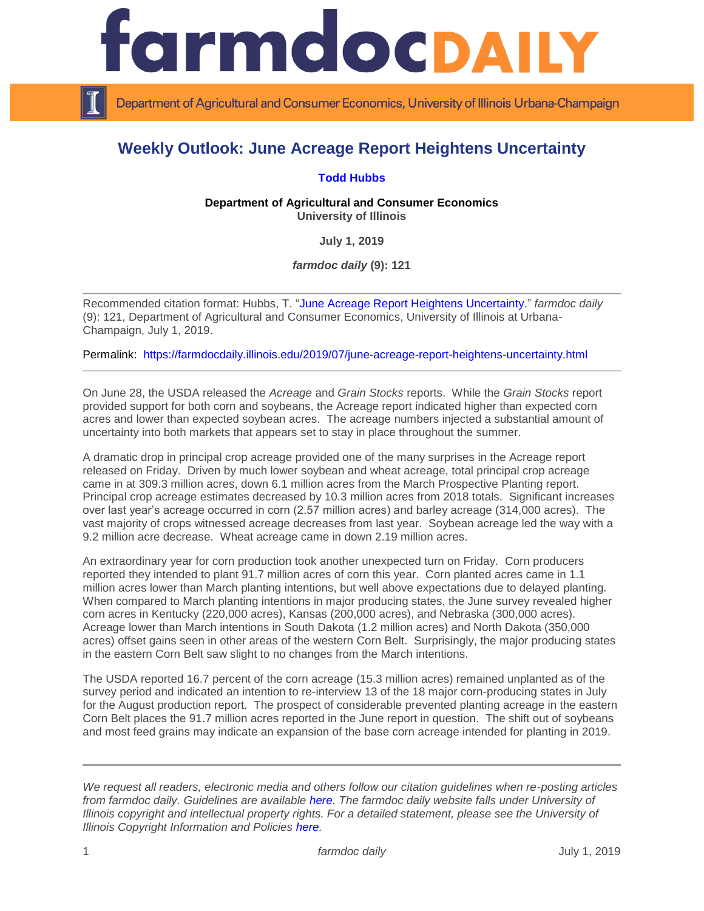

Department of Agricultural and Consumer Economics, University of Illinois Urbana-Champaign

## **Weekly Outlook: June Acreage Report Heightens Uncertainty**

## **[Todd Hubbs](https://ace.illinois.edu/directory/jhubbs3)**

**Department of Agricultural and Consumer Economics University of Illinois**

**July 1, 2019**

*farmdoc daily* **(9): 121**

Recommended citation format: Hubbs, T. ["June Acreage Report Heightens Uncertainty.](https://farmdocdaily.illinois.edu/2019/07/june-acreage-report-heightens-uncertainty.html)" *farmdoc daily*  (9): 121, Department of Agricultural and Consumer Economics, University of Illinois at Urbana-Champaign, July 1, 2019.

Permalink: <https://farmdocdaily.illinois.edu/2019/07/june-acreage-report-heightens-uncertainty.html>

On June 28, the USDA released the *Acreage* and *Grain Stocks* reports. While the *Grain Stocks* report provided support for both corn and soybeans, the Acreage report indicated higher than expected corn acres and lower than expected soybean acres. The acreage numbers injected a substantial amount of uncertainty into both markets that appears set to stay in place throughout the summer.

A dramatic drop in principal crop acreage provided one of the many surprises in the Acreage report released on Friday. Driven by much lower soybean and wheat acreage, total principal crop acreage came in at 309.3 million acres, down 6.1 million acres from the March Prospective Planting report. Principal crop acreage estimates decreased by 10.3 million acres from 2018 totals. Significant increases over last year's acreage occurred in corn (2.57 million acres) and barley acreage (314,000 acres). The vast majority of crops witnessed acreage decreases from last year. Soybean acreage led the way with a 9.2 million acre decrease. Wheat acreage came in down 2.19 million acres.

An extraordinary year for corn production took another unexpected turn on Friday. Corn producers reported they intended to plant 91.7 million acres of corn this year. Corn planted acres came in 1.1 million acres lower than March planting intentions, but well above expectations due to delayed planting. When compared to March planting intentions in major producing states, the June survey revealed higher corn acres in Kentucky (220,000 acres), Kansas (200,000 acres), and Nebraska (300,000 acres). Acreage lower than March intentions in South Dakota (1.2 million acres) and North Dakota (350,000 acres) offset gains seen in other areas of the western Corn Belt. Surprisingly, the major producing states in the eastern Corn Belt saw slight to no changes from the March intentions.

The USDA reported 16.7 percent of the corn acreage (15.3 million acres) remained unplanted as of the survey period and indicated an intention to re-interview 13 of the 18 major corn-producing states in July for the August production report. The prospect of considerable prevented planting acreage in the eastern Corn Belt places the 91.7 million acres reported in the June report in question. The shift out of soybeans and most feed grains may indicate an expansion of the base corn acreage intended for planting in 2019.

*We request all readers, electronic media and others follow our citation guidelines when re-posting articles from farmdoc daily. Guidelines are available [here.](http://farmdocdaily.illinois.edu/citationguide.html) The farmdoc daily website falls under University of Illinois copyright and intellectual property rights. For a detailed statement, please see the University of Illinois Copyright Information and Policies [here.](http://www.cio.illinois.edu/policies/copyright/)*